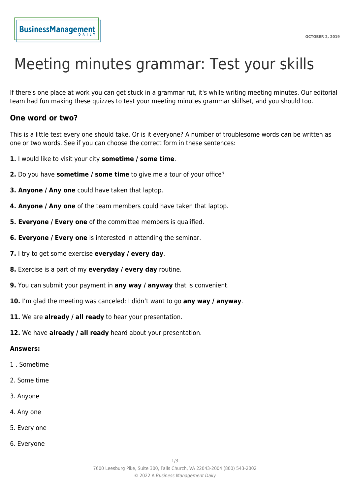# Meeting minutes grammar: Test your skills

If there's one place at work you can get stuck in a grammar rut, it's while writing meeting minutes. Our editorial team had fun making these quizzes to test your meeting minutes grammar skillset, and you should too.

## **One word or two?**

This is a little test every one should take. Or is it everyone? A number of troublesome words can be written as one or two words. See if you can choose the correct form in these sentences:

- **1.** I would like to visit your city **sometime / some time**.
- **2.** Do you have **sometime / some time** to give me a tour of your office?
- **3. Anyone / Any one** could have taken that laptop.
- **4. Anyone / Any one** of the team members could have taken that laptop.
- **5. Everyone / Every one** of the committee members is qualified.
- **6. Everyone / Every one** is interested in attending the seminar.
- **7.** I try to get some exercise **everyday / every day**.
- **8.** Exercise is a part of my **everyday / every day** routine.
- **9.** You can submit your payment in **any way / anyway** that is convenient.
- **10.** I'm glad the meeting was canceled: I didn't want to go **any way / anyway**.
- **11.** We are **already / all ready** to hear your presentation.
- **12.** We have **already / all ready** heard about your presentation.

#### **Answers:**

- 1 . Sometime
- 2. Some time
- 3. Anyone
- 4. Any one
- 5. Every one
- 6. Everyone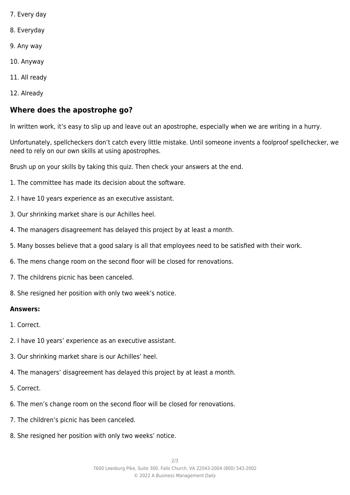- 7. Every day
- 8. Everyday
- 9. Any way
- 10. Anyway
- 11. All ready
- 12. Already

## **Where does the apostrophe go?**

In written work, it's easy to slip up and leave out an apostrophe, especially when we are writing in a hurry.

Unfortunately, spellcheckers don't catch every little mistake. Until someone invents a foolproof spellchecker, we need to rely on our own skills at using apostrophes.

Brush up on your skills by taking this quiz. Then check your answers at the end.

- 1. The committee has made its decision about the software.
- 2. I have 10 years experience as an executive assistant.
- 3. Our shrinking market share is our Achilles heel.
- 4. The managers disagreement has delayed this project by at least a month.
- 5. Many bosses believe that a good salary is all that employees need to be satisfied with their work.
- 6. The mens change room on the second floor will be closed for renovations.
- 7. The childrens picnic has been canceled.
- 8. She resigned her position with only two week's notice.

### **Answers:**

- 1. Correct.
- 2. I have 10 years' experience as an executive assistant.
- 3. Our shrinking market share is our Achilles' heel.
- 4. The managers' disagreement has delayed this project by at least a month.
- 5. Correct.
- 6. The men's change room on the second floor will be closed for renovations.
- 7. The children's picnic has been canceled.
- 8. She resigned her position with only two weeks' notice.